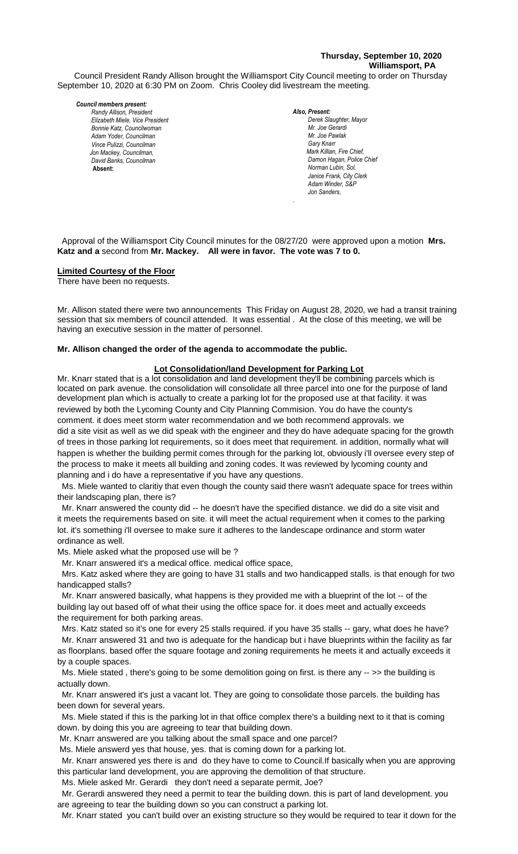## **Thursday, September 10, 2020 Williamsport, PA**

Council President Randy Allison brought the Williamsport City Council meeting to order on Thursday September 10, 2020 at 6:30 PM on Zoom. Chris Cooley did livestream the meeting.

#### *Council members present:*

*Elizabeth Miele, Vice President Bill Hall, Councilman Bonnie Katz, Councilwoman Adam Yoder, Councilman Vince Pulizzi, Councilman Jon Mackey, Councilman, David Banks, Councilman*  **Absent:** 

*Also, Present:*  **Derek Slaughter, Mayor** *Mr. Joe Gerardi Mr. Joseph Pawlak Mr. Joe Pawlak Gary Knarr Mark Killian, Fire Chief,* **Damon Hagan, Police Chief** *Norman Lubin, Sol. Janice Frank, City Clerk* Adam Winder, S&P *Jon Sanders, Randy Allison, President , President* 

 Approval of the Williamsport City Council minutes for the 08/27/20 were approved upon a motion **Mrs. Katz and a** second from **Mr. Mackey. All were in favor. The vote was 7 to 0.** 

*.*

#### **Limited Courtesy of the Floor**

There have been no requests.

Mr. Allison stated there were two announcements This Friday on August 28, 2020, we had a transit training *Mr. Tom Cillo C. Dean Heinbach, Fire Chief* session that six members of council attended. It was essential . At the close of this meeting, we will be having an executive session in the matter of personnel. *Dave Young, Police Chief Chief Heinbach absent*

# Mr. Allison changed the order of the agenda to accommodate the public.

#### **Lot Consolidation/land Development for Parking Lot**

Mr. Knarr stated that is a lot consolidation and land development they'll be combining parcels which is located on park avenue. the consolidation will consolidate all three parcel into one for the purpose of land development plan which is actually to create a parking lot for the proposed use at that facility. it was *Members of News Media* reviewed by both the Lycoming County and City Planning Commision. You do have the county's comment. it does meet storm water recommendation and we both recommend approvals. we did a site visit as well as we did speak with the engineer and they do have adequate spacing for the growth of trees in those parking lot requirements, so it does meet that requirement. in addition, normally what will happen is whether the building permit comes through for the parking lot, obviously i'll oversee every step of the process to make it meets all building and zoning codes. It was reviewed by lycoming county and planning and i do have a representative if you have any questions.

 Ms. Miele wanted to claritiy that even though the county said there wasn't adequate space for trees within their landscaping plan, there is?

 Mr. Knarr answered the county did -- he doesn't have the specified distance. we did do a site visit and it meets the requirements based on site. it will meet the actual requirement when it comes to the parking lot. it's something i'll oversee to make sure it adheres to the landescape ordinance and storm water ordinance as well.

Ms. Miele asked what the proposed use will be ?

Mr. Knarr answered it's a medical office. medical office space,

 Mrs. Katz asked where they are going to have 31 stalls and two handicapped stalls. is that enough for two handicapped stalls?

 Mr. Knarr answered basically, what happens is they provided me with a blueprint of the lot -- of the building lay out based off of what their using the office space for. it does meet and actually exceeds the requirement for both parking areas.

 Mrs. Katz stated so it's one for every 25 stalls required. if you have 35 stalls -- gary, what does he have? Mr. Knarr answered 31 and two is adequate for the handicap but i have blueprints within the facility as far as floorplans. based offer the square footage and zoning requirements he meets it and actually exceeds it by a couple spaces.

Ms. Miele stated, there's going to be some demolition going on first. is there any -- >> the building is actually down.

 Mr. Knarr answered it's just a vacant lot. They are going to consolidate those parcels. the building has been down for several years.

 Ms. Miele stated if this is the parking lot in that office complex there's a building next to it that is coming down. by doing this you are agreeing to tear that building down.

Mr. Knarr answered are you talking about the small space and one parcel?

Ms. Miele answerd yes that house, yes. that is coming down for a parking lot.

 Mr. Knarr answered yes there is and do they have to come to Council.If basically when you are approving this particular land development, you are approving the demolition of that structure.

Ms. Miele asked Mr. Gerardi they don't need a separate permit, Joe?

 Mr. Gerardi answered they need a permit to tear the building down. this is part of land development. you are agreeing to tear the building down so you can construct a parking lot.

Mr. Knarr stated you can't build over an existing structure so they would be required to tear it down for the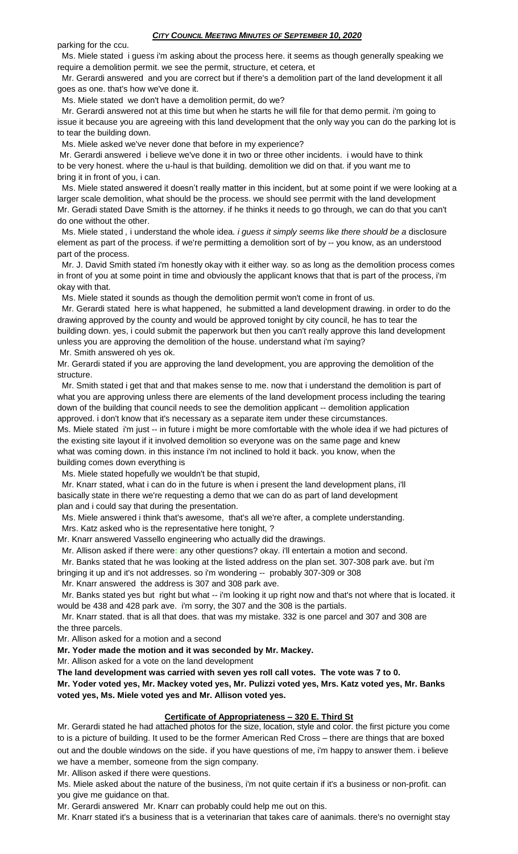parking for the ccu.

 Ms. Miele stated i guess i'm asking about the process here. it seems as though generally speaking we require a demolition permit. we see the permit, structure, et cetera, et

 Mr. Gerardi answered and you are correct but if there's a demolition part of the land development it all goes as one. that's how we've done it.

Ms. Miele stated we don't have a demolition permit, do we?

 Mr. Gerardi answered not at this time but when he starts he will file for that demo permit. i'm going to issue it because you are agreeing with this land development that the only way you can do the parking lot is to tear the building down.

Ms. Miele asked we've never done that before in my experience?

Mr. Gerardi answered i believe we've done it in two or three other incidents. i would have to think to be very honest. where the u-haul is that building. demolition we did on that. if you want me to bring it in front of you, i can.

 Ms. Miele stated answered it doesn't really matter in this incident, but at some point if we were looking at a larger scale demolition, what should be the process. we should see perrmit with the land development Mr. Geradi stated Dave Smith is the attorney. if he thinks it needs to go through, we can do that you can't do one without the other.

 Ms. Miele stated *,* i understand the whole idea*. i guess it simply seems like there should be a* disclosure element as part of the process. if we're permitting a demolition sort of by -- you know, as an understood part of the process.

 Mr. J. David Smith stated i'm honestly okay with it either way. so as long as the demolition process comes in front of you at some point in time and obviously the applicant knows that that is part of the process, i'm okay with that.

Ms. Miele stated it sounds as though the demolition permit won't come in front of us.

 Mr. Gerardi stated here is what happened, he submitted a land development drawing. in order to do the drawing approved by the county and would be approved tonight by city council, he has to tear the building down. yes, i could submit the paperwork but then you can't really approve this land development unless you are approving the demolition of the house. understand what i'm saying? Mr. Smith answered oh yes ok.

Mr. Gerardi stated if you are approving the land development, you are approving the demolition of the structure.

 Mr. Smith stated i get that and that makes sense to me. now that i understand the demolition is part of what you are approving unless there are elements of the land development process including the tearing down of the building that council needs to see the demolition applicant -- demolition application approved. i don't know that it's necessary as a separate item under these circumstances.

Ms. Miele stated i'm just -- in future i might be more comfortable with the whole idea if we had pictures of the existing site layout if it involved demolition so everyone was on the same page and knew what was coming down. in this instance i'm not inclined to hold it back. you know, when the building comes down everything is

Ms. Miele stated hopefully we wouldn't be that stupid,

 Mr. Knarr stated, what i can do in the future is when i present the land development plans, i'll basically state in there we're requesting a demo that we can do as part of land development plan and i could say that during the presentation.

 Ms. Miele answered i think that's awesome, that's all we're after, a complete understanding. Mrs. Katz asked who is the representative here tonight, ?

Mr. Knarr answered Vassello engineering who actually did the drawings.

Mr. Allison asked if there were**:** any other questions? okay. i'll entertain a motion and second.

Mr. Banks stated that he was looking at the listed address on the plan set. 307-308 park ave. but i'm

bringing it up and it's not addresses. so i'm wondering -- probably 307-309 or 308

Mr. Knarr answered the address is 307 and 308 park ave.

 Mr. Banks stated yes but right but what -- i'm looking it up right now and that's not where that is located. it would be 438 and 428 park ave. i'm sorry, the 307 and the 308 is the partials.

 Mr. Knarr stated. that is all that does. that was my mistake. 332 is one parcel and 307 and 308 are the three parcels.

Mr. Allison asked for a motion and a second

**Mr. Yoder made the motion and it was seconded by Mr. Mackey.**

Mr. Allison asked for a vote on the land development

**The land development was carried with seven yes roll call votes. The vote was 7 to 0.**

**Mr. Yoder voted yes, Mr. Mackey voted yes, Mr. Pulizzi voted yes, Mrs. Katz voted yes, Mr. Banks voted yes, Ms. Miele voted yes and Mr. Allison voted yes.**

# **Certificate of Appropriateness – 320 E. Third St**

Mr. Gerardi stated he had attached photos for the size, location, style and color. the first picture you come to is a picture of building. It used to be the former American Red Cross – there are things that are boxed out and the double windows on the side. if you have questions of me, i'm happy to answer them. i believe we have a member, someone from the sign company.

Mr. Allison asked if there were questions.

Ms. Miele asked about the nature of the business, i'm not quite certain if it's a business or non-profit. can you give me guidance on that.

Mr. Gerardi answered Mr. Knarr can probably could help me out on this.

Mr. Knarr stated it's a business that is a veterinarian that takes care of aanimals. there's no overnight stay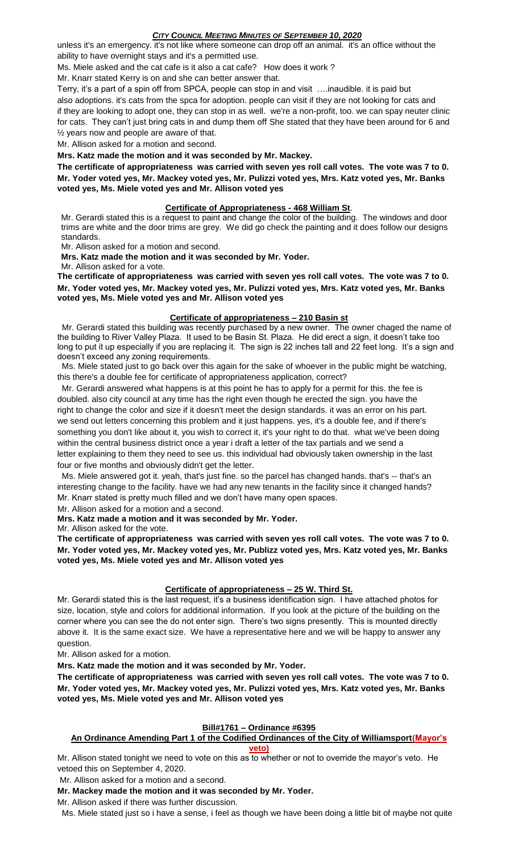unless it's an emergency. it's not like where someone can drop off an animal. it's an office without the ability to have overnight stays and it's a permitted use.

Ms. Miele asked and the cat cafe is it also a cat cafe? How does it work ?

Mr. Knarr stated Kerry is on and she can better answer that.

Terry, it's a part of a spin off from SPCA, people can stop in and visit ….inaudible. it is paid but also adoptions. it's cats from the spca for adoption. people can visit if they are not looking for cats and if they are looking to adopt one, they can stop in as well. we're a non-profit, too. we can spay neuter clinic for cats. They can't just bring cats in and dump them off She stated that they have been around for 6 and ½ years now and people are aware of that.

Mr. Allison asked for a motion and second.

# **Mrs. Katz made the motion and it was seconded by Mr. Mackey.**

**The certificate of appropriateness was carried with seven yes roll call votes. The vote was 7 to 0. Mr. Yoder voted yes, Mr. Mackey voted yes, Mr. Pulizzi voted yes, Mrs. Katz voted yes, Mr. Banks voted yes, Ms. Miele voted yes and Mr. Allison voted yes**

#### **Certificate of Appropriateness - 468 William St**.

Mr. Gerardi stated this is a request to paint and change the color of the building. The windows and door trims are white and the door trims are grey. We did go check the painting and it does follow our designs standards.

Mr. Allison asked for a motion and second.

**Mrs. Katz made the motion and it was seconded by Mr. Yoder.**

Mr. Allison asked for a vote.

**The certificate of appropriateness was carried with seven yes roll call votes. The vote was 7 to 0. Mr. Yoder voted yes, Mr. Mackey voted yes, Mr. Pulizzi voted yes, Mrs. Katz voted yes, Mr. Banks voted yes, Ms. Miele voted yes and Mr. Allison voted yes**

#### **Certificate of appropriateness – 210 Basin st**

 Mr. Gerardi stated this building was recently purchased by a new owner. The owner chaged the name of the building to River Valley Plaza. It used to be Basin St. Plaza. He did erect a sign, it doesn't take too long to put it up especially if you are replacing it. The sign is 22 inches tall and 22 feet long. It's a sign and doesn't exceed any zoning requirements.

 Ms. Miele stated just to go back over this again for the sake of whoever in the public might be watching, this there's a double fee for certificate of appropriateness application, correct?

 Mr. Gerardi answered what happens is at this point he has to apply for a permit for this. the fee is doubled. also city council at any time has the right even though he erected the sign. you have the right to change the color and size if it doesn't meet the design standards. it was an error on his part. we send out letters concerning this problem and it just happens. yes, it's a double fee, and if there's something you don't like about it, you wish to correct it, it's your right to do that. what we've been doing within the central business district once a year i draft a letter of the tax partials and we send a letter explaining to them they need to see us. this individual had obviously taken ownership in the last four or five months and obviously didn't get the letter.

 Ms. Miele answered got it. yeah, that's just fine. so the parcel has changed hands. that's -- that's an interesting change to the facility. have we had any new tenants in the facility since it changed hands? Mr. Knarr stated is pretty much filled and we don't have many open spaces.

Mr. Allison asked for a motion and a second.

**Mrs. Katz made a motion and it was seconded by Mr. Yoder.**

Mr. Allison asked for the vote.

**The certificate of appropriateness was carried with seven yes roll call votes. The vote was 7 to 0. Mr. Yoder voted yes, Mr. Mackey voted yes, Mr. Publizz voted yes, Mrs. Katz voted yes, Mr. Banks voted yes, Ms. Miele voted yes and Mr. Allison voted yes**

# **Certificate of appropriateness – 25 W. Third St.**

Mr. Gerardi stated this is the last request, it's a business identification sign. I have attached photos for size, location, style and colors for additional information. If you look at the picture of the building on the corner where you can see the do not enter sign. There's two signs presently. This is mounted directly above it. It is the same exact size. We have a representative here and we will be happy to answer any question.

Mr. Allison asked for a motion.

**Mrs. Katz made the motion and it was seconded by Mr. Yoder.**

**The certificate of appropriateness was carried with seven yes roll call votes. The vote was 7 to 0. Mr. Yoder voted yes, Mr. Mackey voted yes, Mr. Pulizzi voted yes, Mrs. Katz voted yes, Mr. Banks voted yes, Ms. Miele voted yes and Mr. Allison voted yes**

# **Bill#1761 – Ordinance #6395**

#### **An Ordinance Amending Part 1 of the Codified Ordinances of the City of Williamsport(Mayor's veto)**

Mr. Allison stated tonight we need to vote on this as to whether or not to override the mayor's veto. He vetoed this on September 4, 2020.

Mr. Allison asked for a motion and a second.

# **Mr. Mackey made the motion and it was seconded by Mr. Yoder.**

Mr. Allison asked if there was further discussion.

Ms. Miele stated just so i have a sense, i feel as though we have been doing a little bit of maybe not quite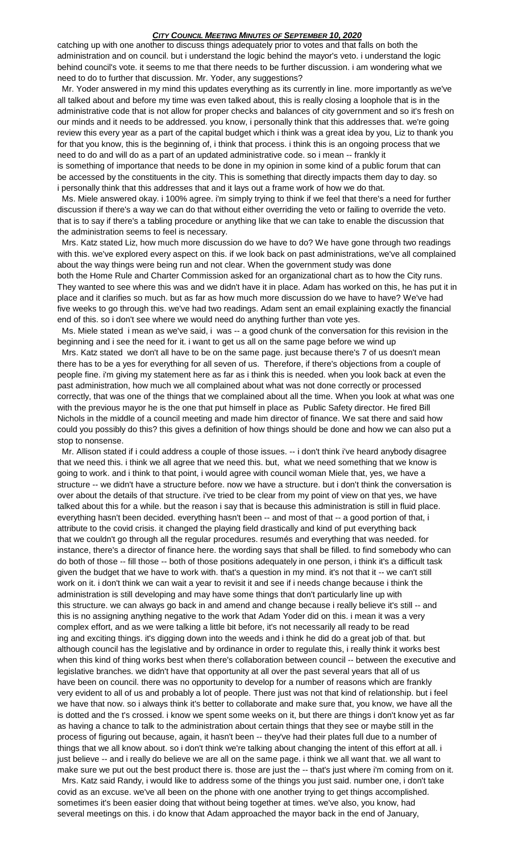catching up with one another to discuss things adequately prior to votes and that falls on both the administration and on council. but i understand the logic behind the mayor's veto. i understand the logic behind council's vote. it seems to me that there needs to be further discussion. i am wondering what we need to do to further that discussion. Mr. Yoder, any suggestions?

 Mr. Yoder answered in my mind this updates everything as its currently in line. more importantly as we've all talked about and before my time was even talked about, this is really closing a loophole that is in the administrative code that is not allow for proper checks and balances of city government and so it's fresh on our minds and it needs to be addressed. you know, i personally think that this addresses that. we're going review this every year as a part of the capital budget which i think was a great idea by you, Liz to thank you for that you know, this is the beginning of, i think that process. i think this is an ongoing process that we need to do and will do as a part of an updated administrative code. so i mean -- frankly it is something of importance that needs to be done in my opinion in some kind of a public forum that can

be accessed by the constituents in the city. This is something that directly impacts them day to day. so i personally think that this addresses that and it lays out a frame work of how we do that.

 Ms. Miele answered okay. i 100% agree. i'm simply trying to think if we feel that there's a need for further discussion if there's a way we can do that without either overriding the veto or failing to override the veto. that is to say if there's a tabling procedure or anything like that we can take to enable the discussion that the administration seems to feel is necessary.

 Mrs. Katz stated Liz, how much more discussion do we have to do? We have gone through two readings with this. we've explored every aspect on this. if we look back on past administrations, we've all complained about the way things were being run and not clear. When the government study was done both the Home Rule and Charter Commission asked for an organizational chart as to how the City runs. They wanted to see where this was and we didn't have it in place. Adam has worked on this, he has put it in place and it clarifies so much. but as far as how much more discussion do we have to have? We've had five weeks to go through this. we've had two readings. Adam sent an email explaining exactly the financial end of this. so i don't see where we would need do anything further than vote yes.

 Ms. Miele stated i mean as we've said, i was -- a good chunk of the conversation for this revision in the beginning and i see the need for it. i want to get us all on the same page before we wind up

 Mrs. Katz stated we don't all have to be on the same page. just because there's 7 of us doesn't mean there has to be a yes for everything for all seven of us. Therefore, if there's objections from a couple of people fine. i'm giving my statement here as far as i think this is needed. when you look back at even the past administration, how much we all complained about what was not done correctly or processed correctly, that was one of the things that we complained about all the time. When you look at what was one with the previous mayor he is the one that put himself in place as Public Safety director. He fired Bill Nichols in the middle of a council meeting and made him director of finance. We sat there and said how could you possibly do this? this gives a definition of how things should be done and how we can also put a stop to nonsense.

 Mr. Allison stated if i could address a couple of those issues. -- i don't think i've heard anybody disagree that we need this. i think we all agree that we need this. but, what we need something that we know is going to work. and i think to that point, i would agree with council woman Miele that, yes, we have a structure -- we didn't have a structure before. now we have a structure. but i don't think the conversation is over about the details of that structure. i've tried to be clear from my point of view on that yes, we have talked about this for a while. but the reason i say that is because this administration is still in fluid place. everything hasn't been decided. everything hasn't been -- and most of that -- a good portion of that, i attribute to the covid crisis. it changed the playing field drastically and kind of put everything back that we couldn't go through all the regular procedures. resumés and everything that was needed. for instance, there's a director of finance here. the wording says that shall be filled. to find somebody who can do both of those -- fill those -- both of those positions adequately in one person, i think it's a difficult task given the budget that we have to work with. that's a question in my mind. it's not that it -- we can't still work on it. i don't think we can wait a year to revisit it and see if i needs change because i think the administration is still developing and may have some things that don't particularly line up with this structure. we can always go back in and amend and change because i really believe it's still -- and this is no assigning anything negative to the work that Adam Yoder did on this. i mean it was a very complex effort, and as we were talking a little bit before, it's not necessarily all ready to be read ing and exciting things. it's digging down into the weeds and i think he did do a great job of that. but although council has the legislative and by ordinance in order to regulate this, i really think it works best when this kind of thing works best when there's collaboration between council -- between the executive and legislative branches. we didn't have that opportunity at all over the past several years that all of us have been on council. there was no opportunity to develop for a number of reasons which are frankly very evident to all of us and probably a lot of people. There just was not that kind of relationship. but i feel we have that now. so i always think it's better to collaborate and make sure that, you know, we have all the is dotted and the t's crossed. i know we spent some weeks on it, but there are things i don't know yet as far as having a chance to talk to the administration about certain things that they see or maybe still in the process of figuring out because, again, it hasn't been -- they've had their plates full due to a number of things that we all know about. so i don't think we're talking about changing the intent of this effort at all. i just believe -- and i really do believe we are all on the same page. i think we all want that. we all want to make sure we put out the best product there is. those are just the -- that's just where i'm coming from on it.

 Mrs. Katz said Randy, i would like to address some of the things you just said. number one, i don't take covid as an excuse. we've all been on the phone with one another trying to get things accomplished. sometimes it's been easier doing that without being together at times. we've also, you know, had several meetings on this. i do know that Adam approached the mayor back in the end of January,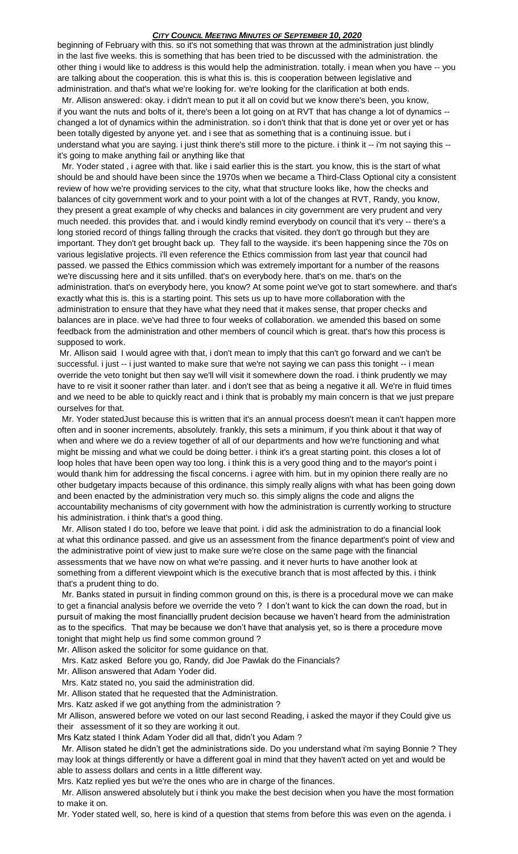beginning of February with this. so it's not something that was thrown at the administration just blindly in the last five weeks. this is something that has been tried to be discussed with the administration. the other thing i would like to address is this would help the administration. totally. i mean when you have -- you are talking about the cooperation. this is what this is. this is cooperation between legislative and administration. and that's what we're looking for. we're looking for the clarification at both ends.

Mr. Allison answered**:** okay. i didn't mean to put it all on covid but we know there's been, you know, if you want the nuts and bolts of it, there's been a lot going on at RVT that has change a lot of dynamics - changed a lot of dynamics within the administration. so i don't think that that is done yet or over yet or has been totally digested by anyone yet. and i see that as something that is a continuing issue. but i understand what you are saying. i just think there's still more to the picture. i think it -- i'm not saying this -it's going to make anything fail or anything like that

 Mr. Yoder stated , i agree with that. like i said earlier this is the start. you know, this is the start of what should be and should have been since the 1970s when we became a Third-Class Optional city a consistent review of how we're providing services to the city, what that structure looks like, how the checks and balances of city government work and to your point with a lot of the changes at RVT, Randy, you know, they present a great example of why checks and balances in city government are very prudent and very much needed. this provides that. and i would kindly remind everybody on council that it's very -- there's a long storied record of things falling through the cracks that visited. they don't go through but they are important. They don't get brought back up. They fall to the wayside. it's been happening since the 70s on various legislative projects. i'll even reference the Ethics commission from last year that council had passed. we passed the Ethics commission which was extremely important for a number of the reasons we're discussing here and it sits unfilled. that's on everybody here. that's on me. that's on the administration. that's on everybody here, you know? At some point we've got to start somewhere. and that's exactly what this is. this is a starting point. This sets us up to have more collaboration with the administration to ensure that they have what they need that it makes sense, that proper checks and balances are in place. we've had three to four weeks of collaboration. we amended this based on some feedback from the administration and other members of council which is great. that's how this process is supposed to work.

Mr. Allison said I would agree with that, i don't mean to imply that this can't go forward and we can't be successful. i just -- i just wanted to make sure that we're not saying we can pass this tonight -- i mean override the veto tonight but then say we'll will visit it somewhere down the road. i think prudently we may have to re visit it sooner rather than later. and i don't see that as being a negative it all. We're in fluid times and we need to be able to quickly react and i think that is probably my main concern is that we just prepare ourselves for that.

 Mr. Yoder statedJust because this is written that it's an annual process doesn't mean it can't happen more often and in sooner increments, absolutely. frankly, this sets a minimum, if you think about it that way of when and where we do a review together of all of our departments and how we're functioning and what might be missing and what we could be doing better. i think it's a great starting point. this closes a lot of loop holes that have been open way too long. i think this is a very good thing and to the mayor's point i would thank him for addressing the fiscal concerns. i agree with him. but in my opinion there really are no other budgetary impacts because of this ordinance. this simply really aligns with what has been going down and been enacted by the administration very much so. this simply aligns the code and aligns the accountability mechanisms of city government with how the administration is currently working to structure his administration. i think that's a good thing.

 Mr. Allison stated I do too, before we leave that point. i did ask the administration to do a financial look at what this ordinance passed. and give us an assessment from the finance department's point of view and the administrative point of view just to make sure we're close on the same page with the financial assessments that we have now on what we're passing. and it never hurts to have another look at something from a different viewpoint which is the executive branch that is most affected by this. i think that's a prudent thing to do.

 Mr. Banks stated in pursuit in finding common ground on this, is there is a procedural move we can make to get a financial analysis before we override the veto ? I don't want to kick the can down the road, but in pursuit of making the most financiallly prudent decision because we haven't heard from the administration as to the specifics. That may be because we don't have that analysis yet, so is there a procedure move tonight that might help us find some common ground ?

Mr. Allison asked the solicitor for some guidance on that.

Mrs. Katz asked Before you go, Randy, did Joe Pawlak do the Financials?

Mr. Allison answered that Adam Yoder did.

Mrs. Katz stated no, you said the administration did.

Mr. Allison stated that he requested that the Administration.

Mrs. Katz asked if we got anything from the administration ?

Mr Allison, answered before we voted on our last second Reading, i asked the mayor if they Could give us their assessment of it so they are working it out.

Mrs Katz stated I think Adam Yoder did all that, didn't you Adam ?

 Mr. Allison stated he didn't get the administrations side. Do you understand what i'm saying Bonnie ? They may look at things differently or have a different goal in mind that they haven't acted on yet and would be able to assess dollars and cents in a little different way.

Mrs. Katz replied yes but we're the ones who are in charge of the finances.

 Mr. Allison answered absolutely but i think you make the best decision when you have the most formation to make it on.

Mr. Yoder stated well, so, here is kind of a question that stems from before this was even on the agenda. i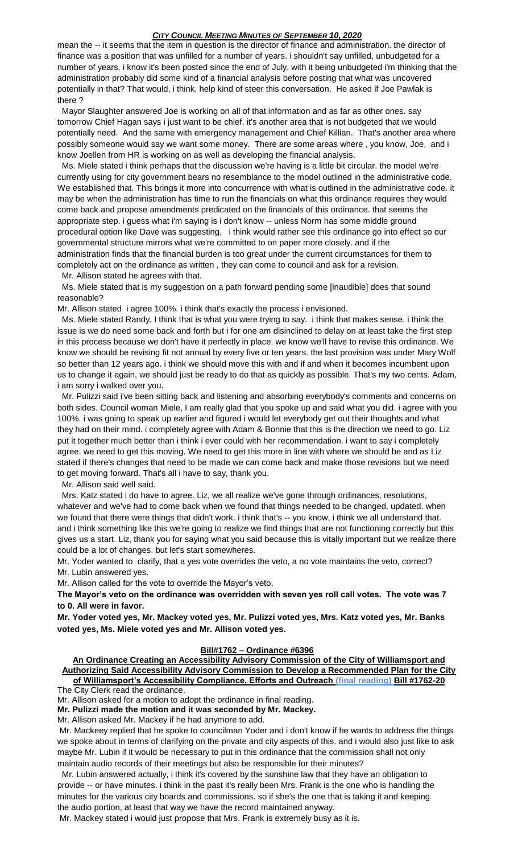mean the -- it seems that the item in question is the director of finance and administration. the director of finance was a position that was unfilled for a number of years. i shouldn't say unfilled, unbudgeted for a number of years. i know it's been posted since the end of July. with it being unbudgeted i'm thinking that the administration probably did some kind of a financial analysis before posting that what was uncovered potentially in that? That would, i think, help kind of steer this conversation. He asked if Joe Pawlak is there ?

 Mayor Slaughter answered Joe is working on all of that information and as far as other ones. say tomorrow Chief Hagan says i just want to be chief, it's another area that is not budgeted that we would potentially need. And the same with emergency management and Chief Killian. That's another area where possibly someone would say we want some money. There are some areas where , you know, Joe, and i know Joellen from HR is working on as well as developing the financial analysis.

 Ms. Miele stated i think perhaps that the discussion we're having is a little bit circular. the model we're currently using for city government bears no resemblance to the model outlined in the administrative code. We established that. This brings it more into concurrence with what is outlined in the administrative code. it may be when the administration has time to run the financials on what this ordinance requires they would come back and propose amendments predicated on the financials of this ordinance. that seems the appropriate step. i guess what i'm saying is i don't know -- unless Norm has some middle ground procedural option like Dave was suggesting, i think would rather see this ordinance go into effect so our governmental structure mirrors what we're committed to on paper more closely. and if the administration finds that the financial burden is too great under the current circumstances for them to completely act on the ordinance as written , they can come to council and ask for a revision.

Mr. Allison stated he agrees with that.

 Ms. Miele stated that is my suggestion on a path forward pending some [inaudible] does that sound reasonable?

Mr. Allison stated i agree 100%. i think that's exactly the process i envisioned.

 Ms. Miele stated Randy, I think that is what you were trying to say. i think that makes sense. i think the issue is we do need some back and forth but i for one am disinclined to delay on at least take the first step in this process because we don't have it perfectly in place. we know we'll have to revise this ordinance. We know we should be revising fit not annual by every five or ten years. the last provision was under Mary Wolf so better than 12 years ago. i think we should move this with and if and when it becomes incumbent upon us to change it again, we should just be ready to do that as quickly as possible. That's my two cents. Adam, i am sorry i walked over you.

 Mr. Pulizzi said i've been sitting back and listening and absorbing everybody's comments and concerns on both sides. Council woman Miele, I am really glad that you spoke up and said what you did. i agree with you 100%. i was going to speak up earlier and figured i would let everybody get out their thoughts and what they had on their mind. i completely agree with Adam & Bonnie that this is the direction we need to go. Liz put it together much better than i think i ever could with her recommendation. i want to say i completely agree. we need to get this moving. We need to get this more in line with where we should be and as Liz stated if there's changes that need to be made we can come back and make those revisions but we need to get moving forward. That's all i have to say, thank you.

Mr. Allison said well said.

 Mrs. Katz stated i do have to agree. Liz, we all realize we've gone through ordinances, resolutions, whatever and we've had to come back when we found that things needed to be changed, updated. when we found that there were things that didn't work. i think that's -- you know, i think we all understand that. and i think something like this we're going to realize we find things that are not functioning correctly but this gives us a start. Liz, thank you for saying what you said because this is vitally important but we realize there could be a lot of changes. but let's start somewheres.

Mr. Yoder wanted to clarify, that a yes vote overrides the veto, a no vote maintains the veto, correct? Mr. Lubin answered yes.

Mr. Allison called for the vote to override the Mayor's veto.

**The Mayor's veto on the ordinance was overridden with seven yes roll call votes. The vote was 7 to 0. All were in favor.**

**Mr. Yoder voted yes, Mr. Mackey voted yes, Mr. Pulizzi voted yes, Mrs. Katz voted yes, Mr. Banks voted yes, Ms. Miele voted yes and Mr. Allison voted yes.**

# **Bill#1762 – Ordinance #6396**

**An Ordinance Creating an Accessibility Advisory Commission of the City of Williamsport and Authorizing Said Accessibility Advisory Commission to Develop a Recommended Plan for the City of Williamsport's Accessibility Compliance, Efforts and Outreach (final reading) Bill #1762-20**

The City Clerk read the ordinance.

Mr. Allison asked for a motion to adopt the ordinance in final reading.

**Mr. Pulizzi made the motion and it was seconded by Mr. Mackey.**

Mr. Allison asked Mr. Mackey if he had anymore to add.

Mr. Mackeey replied that he spoke to councilman Yoder and i don't know if he wants to address the things we spoke about in terms of clarifying on the private and city aspects of this. and i would also just like to ask maybe Mr. Lubin if it would be necessary to put in this ordinance that the commission shall not only maintain audio records of their meetings but also be responsible for their minutes?

 Mr. Lubin answered actually, i think it's covered by the sunshine law that they have an obligation to provide -- or have minutes. i think in the past it's really been Mrs. Frank is the one who is handling the minutes for the various city boards and commissions. so if she's the one that is taking it and keeping the audio portion, at least that way we have the record maintained anyway.

Mr. Mackey stated i would just propose that Mrs. Frank is extremely busy as it is.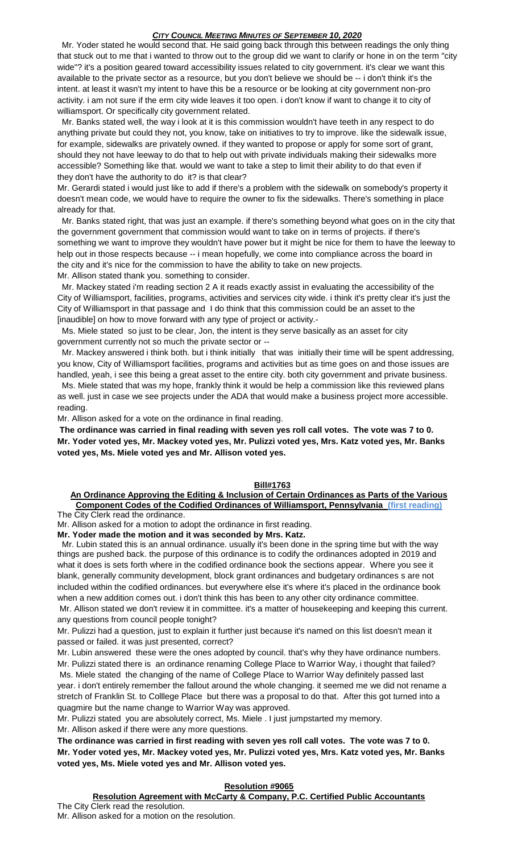Mr. Yoder stated he would second that. He said going back through this between readings the only thing that stuck out to me that i wanted to throw out to the group did we want to clarify or hone in on the term "city wide"? it's a position geared toward accessibility issues related to city government. it's clear we want this available to the private sector as a resource, but you don't believe we should be -- i don't think it's the intent. at least it wasn't my intent to have this be a resource or be looking at city government non-pro activity. i am not sure if the erm city wide leaves it too open. i don't know if want to change it to city of williamsport. Or specifically city government related.

 Mr. Banks stated well, the way i look at it is this commission wouldn't have teeth in any respect to do anything private but could they not, you know, take on initiatives to try to improve. like the sidewalk issue, for example, sidewalks are privately owned. if they wanted to propose or apply for some sort of grant, should they not have leeway to do that to help out with private individuals making their sidewalks more accessible? Something like that. would we want to take a step to limit their ability to do that even if they don't have the authority to do it? is that clear?

Mr. Gerardi stated i would just like to add if there's a problem with the sidewalk on somebody's property it doesn't mean code, we would have to require the owner to fix the sidewalks. There's something in place already for that.

 Mr. Banks stated right, that was just an example. if there's something beyond what goes on in the city that the government government that commission would want to take on in terms of projects. if there's something we want to improve they wouldn't have power but it might be nice for them to have the leeway to help out in those respects because -- i mean hopefully, we come into compliance across the board in the city and it's nice for the commission to have the ability to take on new projects. Mr. Allison stated thank you. something to consider.

 Mr. Mackey stated i'm reading section 2 A it reads exactly assist in evaluating the accessibility of the City of Williamsport, facilities, programs, activities and services city wide. i think it's pretty clear it's just the City of Williamsport in that passage and I do think that this commission could be an asset to the [inaudible] on how to move forward with any type of project or activity.-

 Ms. Miele stated so just to be clear, Jon, the intent is they serve basically as an asset for city government currently not so much the private sector or --

 Mr. Mackey answered i think both. but i think initially that was initially their time will be spent addressing, you know, City of Williamsport facilities, programs and activities but as time goes on and those issues are handled, yeah, i see this being a great asset to the entire city. both city government and private business.

 Ms. Miele stated that was my hope, frankly think it would be help a commission like this reviewed plans as well. just in case we see projects under the ADA that would make a business project more accessible. reading.

Mr. Allison asked for a vote on the ordinance in final reading.

**The ordinance was carried in final reading with seven yes roll call votes. The vote was 7 to 0. Mr. Yoder voted yes, Mr. Mackey voted yes, Mr. Pulizzi voted yes, Mrs. Katz voted yes, Mr. Banks voted yes, Ms. Miele voted yes and Mr. Allison voted yes.**

#### **Bill#1763**

#### **An Ordinance Approving the Editing & Inclusion of Certain Ordinances as Parts of the Various Component Codes of the Codified Ordinances of Williamsport, Pennsylvania (first reading)** The City Clerk read the ordinance.

Mr. Allison asked for a motion to adopt the ordinance in first reading.

**Mr. Yoder made the motion and it was seconded by Mrs. Katz.**

Mr. Lubin stated this is an annual ordinance. usually it's been done in the spring time but with the way things are pushed back. the purpose of this ordinance is to codify the ordinances adopted in 2019 and what it does is sets forth where in the codified ordinance book the sections appear. Where you see it blank, generally community development, block grant ordinances and budgetary ordinances s are not included within the codified ordinances. but everywhere else it's where it's placed in the ordinance book when a new addition comes out. i don't think this has been to any other city ordinance committee.

Mr. Allison stated we don't review it in committee. it's a matter of housekeeping and keeping this current. any questions from council people tonight?

Mr. Pulizzi had a question, just to explain it further just because it's named on this list doesn't mean it passed or failed. it was just presented, correct?

Mr. Lubin answered these were the ones adopted by council. that's why they have ordinance numbers. Mr. Pulizzi stated there is an ordinance renaming College Place to Warrior Way, i thought that failed? Ms. Miele stated the changing of the name of College Place to Warrior Way definitely passed last year. i don't entirely remember the fallout around the whole changing. it seemed me we did not rename a stretch of Franklin St. to Colllege Place but there was a proposal to do that. After this got turned into a quagmire but the name change to Warrior Way was approved.

Mr. Pulizzi stated you are absolutely correct, Ms. Miele . I just jumpstarted my memory.

Mr. Allison asked if there were any more questions.

**The ordinance was carried in first reading with seven yes roll call votes. The vote was 7 to 0. Mr. Yoder voted yes, Mr. Mackey voted yes, Mr. Pulizzi voted yes, Mrs. Katz voted yes, Mr. Banks voted yes, Ms. Miele voted yes and Mr. Allison voted yes.**

#### **Resolution #9065**

**Resolution Agreement with McCarty & Company, P.C. Certified Public Accountants** The City Clerk read the resolution.

Mr. Allison asked for a motion on the resolution.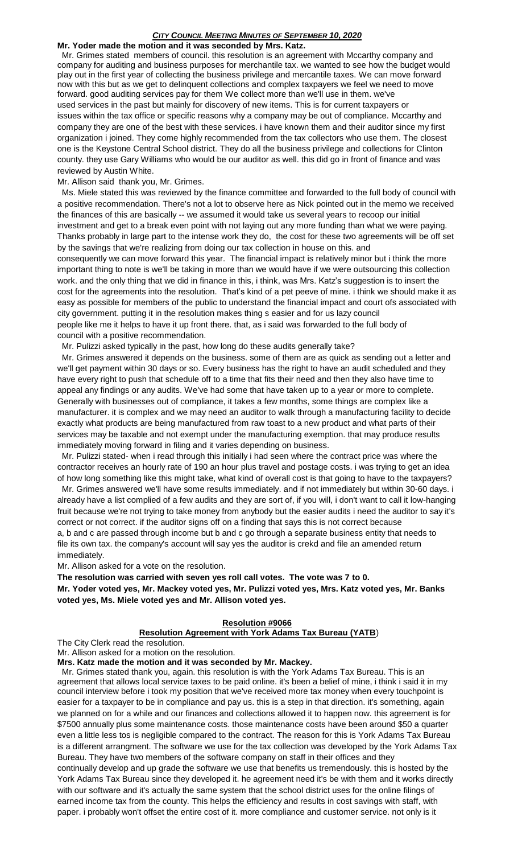#### *CITY COUNCIL MEETING MINUTES OF SEPTEMBER 10, 2020* **Mr. Yoder made the motion and it was seconded by Mrs. Katz.**

 Mr. Grimes stated members of council. this resolution is an agreement with Mccarthy company and company for auditing and business purposes for merchantile tax. we wanted to see how the budget would play out in the first year of collecting the business privilege and mercantile taxes. We can move forward now with this but as we get to delinquent collections and complex taxpayers we feel we need to move forward. good auditing services pay for them We collect more than we'll use in them. we've used services in the past but mainly for discovery of new items. This is for current taxpayers or issues within the tax office or specific reasons why a company may be out of compliance. Mccarthy and company they are one of the best with these services. i have known them and their auditor since my first organization i joined. They come highly recommended from the tax collectors who use them. The closest one is the Keystone Central School district. They do all the business privilege and collections for Clinton county. they use Gary Williams who would be our auditor as well. this did go in front of finance and was reviewed by Austin White.

#### Mr. Allison said thank you, Mr. Grimes.

 Ms. Miele stated this was reviewed by the finance committee and forwarded to the full body of council with a positive recommendation. There's not a lot to observe here as Nick pointed out in the memo we received the finances of this are basically -- we assumed it would take us several years to recoop our initial investment and get to a break even point with not laying out any more funding than what we were paying. Thanks probably in large part to the intense work they do, the cost for these two agreements will be off set by the savings that we're realizing from doing our tax collection in house on this. and

consequently we can move forward this year. The financial impact is relatively minor but i think the more important thing to note is we'll be taking in more than we would have if we were outsourcing this collection work. and the only thing that we did in finance in this, i think, was Mrs. Katz's suggestion is to insert the cost for the agreements into the resolution. That's kind of a pet peeve of mine. i think we should make it as easy as possible for members of the public to understand the financial impact and court ofs associated with city government. putting it in the resolution makes thing s easier and for us lazy council people like me it helps to have it up front there. that, as i said was forwarded to the full body of council with a positive recommendation.

Mr. Pulizzi asked typically in the past, how long do these audits generally take?

 Mr. Grimes answered it depends on the business. some of them are as quick as sending out a letter and we'll get payment within 30 days or so. Every business has the right to have an audit scheduled and they have every right to push that schedule off to a time that fits their need and then they also have time to appeal any findings or any audits. We've had some that have taken up to a year or more to complete. Generally with businesses out of compliance, it takes a few months, some things are complex like a manufacturer. it is complex and we may need an auditor to walk through a manufacturing facility to decide exactly what products are being manufactured from raw toast to a new product and what parts of their services may be taxable and not exempt under the manufacturing exemption. that may produce results immediately moving forward in filing and it varies depending on business.

 Mr. Pulizzi stated- when i read through this initially i had seen where the contract price was where the contractor receives an hourly rate of 190 an hour plus travel and postage costs. i was trying to get an idea of how long something like this might take, what kind of overall cost is that going to have to the taxpayers?

 Mr. Grimes answered we'll have some results immediately. and if not immediately but within 30-60 days. i already have a list complied of a few audits and they are sort of, if you will, i don't want to call it low-hanging fruit because we're not trying to take money from anybody but the easier audits i need the auditor to say it's correct or not correct. if the auditor signs off on a finding that says this is not correct because a, b and c are passed through income but b and c go through a separate business entity that needs to file its own tax. the company's account will say yes the auditor is crekd and file an amended return

immediately. Mr. Allison asked for a vote on the resolution.

**The resolution was carried with seven yes roll call votes. The vote was 7 to 0.**

**Mr. Yoder voted yes, Mr. Mackey voted yes, Mr. Pulizzi voted yes, Mrs. Katz voted yes, Mr. Banks voted yes, Ms. Miele voted yes and Mr. Allison voted yes.**

# **Resolution #9066**

# **Resolution Agreement with York Adams Tax Bureau (YATB**)

The City Clerk read the resolution.

Mr. Allison asked for a motion on the resolution.

**Mrs. Katz made the motion and it was seconded by Mr. Mackey.**

 Mr. Grimes stated thank you, again. this resolution is with the York Adams Tax Bureau. This is an agreement that allows local service taxes to be paid online. it's been a belief of mine, i think i said it in my council interview before i took my position that we've received more tax money when every touchpoint is easier for a taxpayer to be in compliance and pay us. this is a step in that direction. it's something, again we planned on for a while and our finances and collections allowed it to happen now. this agreement is for \$7500 annually plus some maintenance costs. those maintenance costs have been around \$50 a quarter even a little less tos is negligible compared to the contract. The reason for this is York Adams Tax Bureau is a different arrangment. The software we use for the tax collection was developed by the York Adams Tax Bureau. They have two members of the software company on staff in their offices and they

continually develop and up grade the software we use that benefits us tremendously. this is hosted by the York Adams Tax Bureau since they developed it. he agreement need it's be with them and it works directly with our software and it's actually the same system that the school district uses for the online filings of earned income tax from the county. This helps the efficiency and results in cost savings with staff, with paper. i probably won't offset the entire cost of it. more compliance and customer service. not only is it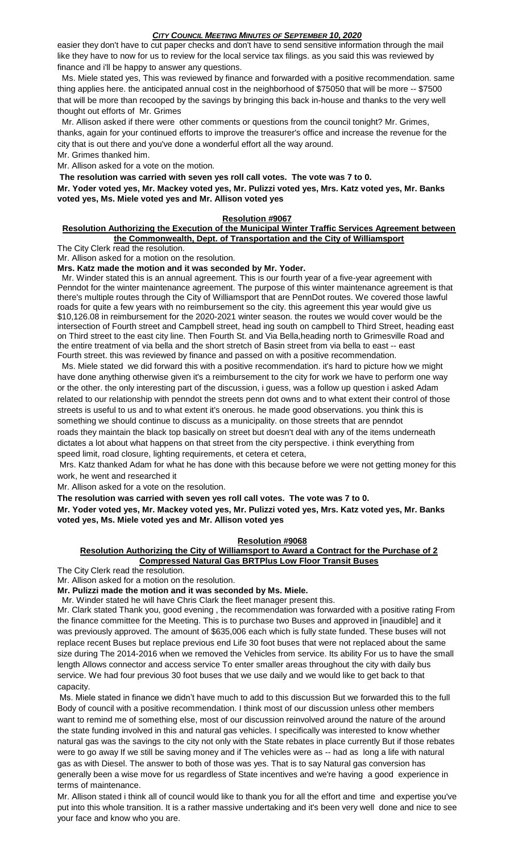easier they don't have to cut paper checks and don't have to send sensitive information through the mail like they have to now for us to review for the local service tax filings. as you said this was reviewed by finance and i'll be happy to answer any questions.

 Ms. Miele stated yes, This was reviewed by finance and forwarded with a positive recommendation. same thing applies here. the anticipated annual cost in the neighborhood of \$75050 that will be more -- \$7500 that will be more than recooped by the savings by bringing this back in-house and thanks to the very well thought out efforts of Mr. Grimes

 Mr. Allison asked if there were other comments or questions from the council tonight? Mr. Grimes, thanks, again for your continued efforts to improve the treasurer's office and increase the revenue for the city that is out there and you've done a wonderful effort all the way around. Mr. Grimes thanked him.

Mr. Allison asked for a vote on the motion.

**The resolution was carried with seven yes roll call votes. The vote was 7 to 0. Mr. Yoder voted yes, Mr. Mackey voted yes, Mr. Pulizzi voted yes, Mrs. Katz voted yes, Mr. Banks voted yes, Ms. Miele voted yes and Mr. Allison voted yes**

# **Resolution #9067**

### **Resolution Authorizing the Execution of the Municipal Winter Traffic Services Agreement between the Commonwealth, Dept. of Transportation and the City of Williamsport**

The City Clerk read the resolution.

Mr. Allison asked for a motion on the resolution.

**Mrs. Katz made the motion and it was seconded by Mr. Yoder.**

 Mr. Winder stated this is an annual agreement. This is our fourth year of a five-year agreement with Penndot for the winter maintenance agreement. The purpose of this winter maintenance agreement is that there's multiple routes through the City of Williamsport that are PennDot routes. We covered those lawful roads for quite a few years with no reimbursement so the city. this agreement this year would give us \$10,126.08 in reimbursement for the 2020-2021 winter season. the routes we would cover would be the intersection of Fourth street and Campbell street, head ing south on campbell to Third Street, heading east on Third street to the east city line. Then Fourth St. and Via Bella,heading north to Grimesville Road and the entire treatment of via bella and the short stretch of Basin street from via bella to east -- east Fourth street. this was reviewed by finance and passed on with a positive recommendation.

 Ms. Miele stated we did forward this with a positive recommendation. it's hard to picture how we might have done anything otherwise given it's a reimbursement to the city for work we have to perform one way or the other. the only interesting part of the discussion, i guess, was a follow up question i asked Adam related to our relationship with penndot the streets penn dot owns and to what extent their control of those streets is useful to us and to what extent it's onerous. he made good observations. you think this is something we should continue to discuss as a municipality. on those streets that are penndot roads they maintain the black top basically on street but doesn't deal with any of the items underneath dictates a lot about what happens on that street from the city perspective. i think everything from speed limit, road closure, lighting requirements, et cetera et cetera,

Mrs. Katz thanked Adam for what he has done with this because before we were not getting money for this work, he went and researched it

Mr. Allison asked for a vote on the resolution.

**The resolution was carried with seven yes roll call votes. The vote was 7 to 0.**

**Mr. Yoder voted yes, Mr. Mackey voted yes, Mr. Pulizzi voted yes, Mrs. Katz voted yes, Mr. Banks voted yes, Ms. Miele voted yes and Mr. Allison voted yes**

# **Resolution #9068**

# **Resolution Authorizing the City of Williamsport to Award a Contract for the Purchase of 2 Compressed Natural Gas BRTPlus Low Floor Transit Buses**

The City Clerk read the resolution.

Mr. Allison asked for a motion on the resolution.

**Mr. Pulizzi made the motion and it was seconded by Ms. Miele.**

Mr. Winder stated he will have Chris Clark the fleet manager present this.

Mr. Clark stated Thank you, good evening , the recommendation was forwarded with a positive rating From the finance committee for the Meeting. This is to purchase two Buses and approved in [inaudible] and it was previously approved. The amount of \$635,006 each which is fully state funded. These buses will not replace recent Buses but replace previous end Life 30 foot buses that were not replaced about the same size during The 2014-2016 when we removed the Vehicles from service. Its ability For us to have the small length Allows connector and access service To enter smaller areas throughout the city with daily bus service. We had four previous 30 foot buses that we use daily and we would like to get back to that capacity.

Ms. Miele stated in finance we didn't have much to add to this discussion But we forwarded this to the full Body of council with a positive recommendation. I think most of our discussion unless other members want to remind me of something else, most of our discussion reinvolved around the nature of the around the state funding involved in this and natural gas vehicles. I specifically was interested to know whether natural gas was the savings to the city not only with the State rebates in place currently But if those rebates were to go away If we still be saving money and if The vehicles were as -- had as long a life with natural gas as with Diesel. The answer to both of those was yes. That is to say Natural gas conversion has generally been a wise move for us regardless of State incentives and we're having a good experience in terms of maintenance.

Mr. Allison stated i think all of council would like to thank you for all the effort and time and expertise you've put into this whole transition. It is a rather massive undertaking and it's been very well done and nice to see your face and know who you are.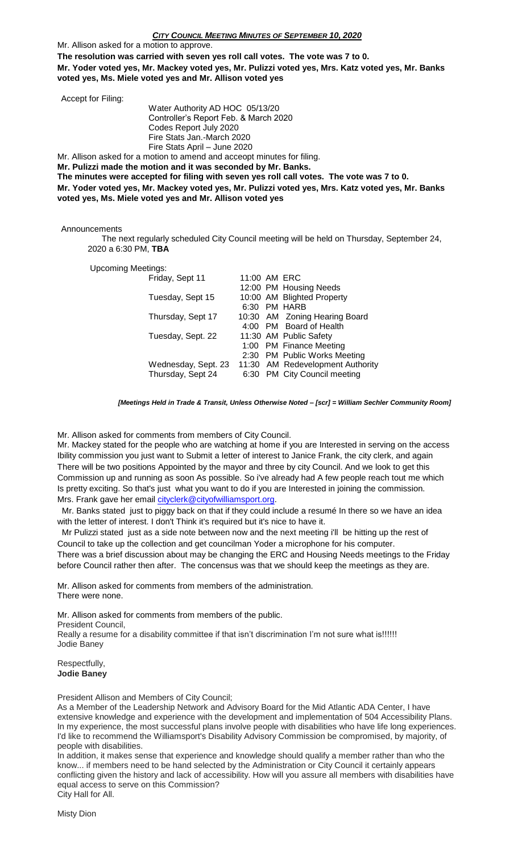Mr. Allison asked for a motion to approve.

**The resolution was carried with seven yes roll call votes. The vote was 7 to 0.**

**Mr. Yoder voted yes, Mr. Mackey voted yes, Mr. Pulizzi voted yes, Mrs. Katz voted yes, Mr. Banks voted yes, Ms. Miele voted yes and Mr. Allison voted yes**

| Accept for Filing: |                                                                                                           |
|--------------------|-----------------------------------------------------------------------------------------------------------|
|                    | Water Authority AD HOC 05/13/20                                                                           |
|                    | Controller's Report Feb. & March 2020                                                                     |
|                    | Codes Report July 2020                                                                                    |
|                    | Fire Stats Jan.-March 2020                                                                                |
|                    | Fire Stats April - June 2020                                                                              |
|                    | Mr. Allison asked for a motion to amend and acceopt minutes for filing.                                   |
|                    | Mr. Pulizzi made the motion and it was seconded by Mr. Banks.                                             |
|                    | The minutes were accepted for filing with seven yes roll call votes. The vote was 7 to 0.                 |
|                    | مناميها المقرر بينا وعاجب والملاحي المسار والمقدر في العام المساجد ويتماموا فالمساجد المقرر بمارد المساجد |

**Mr. Yoder voted yes, Mr. Mackey voted yes, Mr. Pulizzi voted yes, Mrs. Katz voted yes, Mr. Banks voted yes, Ms. Miele voted yes and Mr. Allison voted yes**

Announcements

 The next regularly scheduled City Council meeting will be held on Thursday, September 24, 2020 a 6:30 PM, **TBA**

Upcoming Meetings:

| Friday, Sept 11     | 11:00 AM ERC |                                  |
|---------------------|--------------|----------------------------------|
|                     |              | 12:00 PM Housing Needs           |
| Tuesday, Sept 15    |              | 10:00 AM Blighted Property       |
|                     |              | 6:30 PM HARB                     |
| Thursday, Sept 17   |              | 10:30 AM Zoning Hearing Board    |
|                     |              | 4:00 PM Board of Health          |
| Tuesday, Sept. 22   |              | 11:30 AM Public Safety           |
|                     |              | 1:00 PM Finance Meeting          |
|                     |              | 2:30 PM Public Works Meeting     |
| Wednesday, Sept. 23 |              | 11:30 AM Redevelopment Authority |
| Thursday, Sept 24   |              | 6:30 PM City Council meeting     |
|                     |              |                                  |

*[Meetings Held in Trade & Transit, Unless Otherwise Noted – [scr] = William Sechler Community Room]*

Mr. Allison asked for comments from members of City Council.

Mr. Mackey stated for the people who are watching at home if you are Interested in serving on the access Ibility commission you just want to Submit a letter of interest to Janice Frank, the city clerk, and again There will be two positions Appointed by the mayor and three by city Council. And we look to get this Commission up and running as soon As possible. So i've already had A few people reach tout me which Is pretty exciting. So that's just what you want to do if you are Interested in joining the commission. Mrs. Frank gave her email [cityclerk@cityofwilliamsport.org.](mailto:cityclerk@cityofwilliamsport.org)

 Mr. Banks stated just to piggy back on that if they could include a resumé In there so we have an idea with the letter of interest. I don't Think it's required but it's nice to have it.

 Mr Pulizzi stated just as a side note between now and the next meeting i'll be hitting up the rest of Council to take up the collection and get councilman Yoder a microphone for his computer. There was a brief discussion about may be changing the ERC and Housing Needs meetings to the Friday before Council rather then after. The concensus was that we should keep the meetings as they are.

Mr. Allison asked for comments from members of the administration. There were none.

Mr. Allison asked for comments from members of the public. President Council, Really a resume for a disability committee if that isn't discrimination I'm not sure what is!!!!!! Jodie Baney

Respectfully, **Jodie Baney** 

President Allison and Members of City Council;

As a Member of the Leadership Network and Advisory Board for the Mid Atlantic ADA Center, I have extensive knowledge and experience with the development and implementation of 504 Accessibility Plans. In my experience, the most successful plans involve people with disabilities who have life long experiences. I'd like to recommend the Williamsport's Disability Advisory Commission be compromised, by majority, of people with disabilities.

In addition, it makes sense that experience and knowledge should qualify a member rather than who the know... if members need to be hand selected by the Administration or City Council it certainly appears conflicting given the history and lack of accessibility. How will you assure all members with disabilities have equal access to serve on this Commission? City Hall for All.